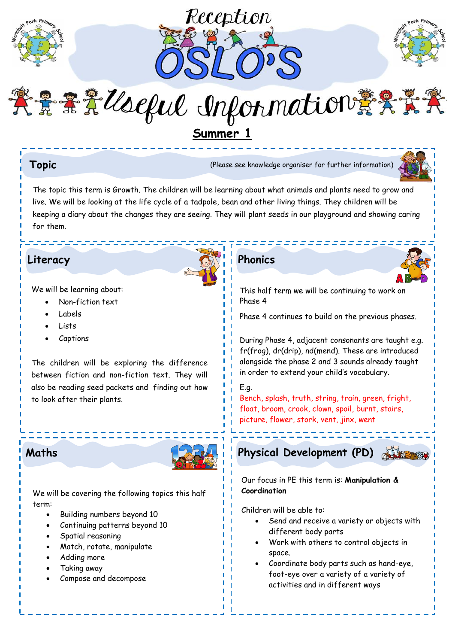





紫景景景Useful Information黄条素

**Summer 1**

**Topic** (Please see knowledge organiser for further information)



The topic this term is Growth. The children will be learning about what animals and plants need to grow and live. We will be looking at the life cycle of a tadpole, bean and other living things. They children will be keeping a diary about the changes they are seeing. They will plant seeds in our playground and showing caring for them.

# **Literacy Phonics**

We will be learning about:

- Non-fiction text
- Labels
- Lists
- Captions

The children will be exploring the difference between fiction and non-fiction text. They will also be reading seed packets and finding out how to look after their plants.



We will be covering the following topics this half term:

- Building numbers beyond 10
- Continuing patterns beyond 10
- Spatial reasoning
- Match, rotate, manipulate
- Adding more
- Taking away
- Compose and decompose



This half term we will be continuing to work on Phase 4

Phase 4 continues to build on the previous phases.

During Phase 4, adjacent consonants are taught e.g. fr(frog), dr(drip), nd(mend). These are introduced alongside the phase 2 and 3 sounds already taught in order to extend your child's vocabulary.

E.g. Bench, splash, truth, string, train, green, fright, float, broom, crook, clown, spoil, burnt, stairs, picture, flower, stork, vent, jinx, went



Our focus in PE this term is: **Manipulation & Coordination**

Children will be able to:

- Send and receive a variety or objects with different body parts
- Work with others to control objects in space.
- Coordinate body parts such as hand-eye, foot-eye over a variety of a variety of activities and in different ways